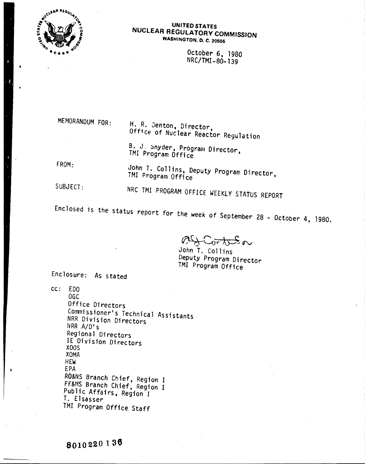

## UNITED STATES NUCLEAR REGULATORY COMMISSION WASHINGTON, D. C. 20555

October 6, 1980 NRC/TMI-80-139

MEMORANDUM FOR:

H. R. Jenton, Director, Office of Nuclear Reactor Regulation

B. J. snyder, Program Director, TMI Program Office

FROM:

John T. Collins, Deputy Program Director, TMI Program Office

SUBJECT:

NRC TMI PROGRAM OFFICE WEEKLY STATUS REPORT

Enclosed is the status report for the week of September 28 - October 4, 1980.

 $\forall$   $\mapsto$  $f$  (  $\overline{v}$  to  $\overline{v}$  or

John T. Collins Deputy Program Director TMI Program Office

Enclosure: As stated

cc: EDO OGC Office Directors Commissioner's Technical Assistants NRR Division Directors NRR A/D's Regional Directors IE Division Directors XOOS XOMA HEW EPA RO&NS Branch Chief, Region I FF&MS Branch Chief, Region I Public Affairs, Region I T. Elsasser *TMI* Program Office Staff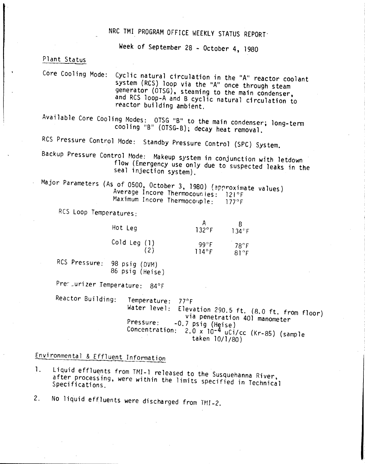# NRC TMI PROGRAM OFFICE WEEKLY STATUS REPORT'

Week of September 28 - October 4, 1980

Plant Status

Core Cooling Mode: Cyclic natural circulation in the *"A"* reactor coolant system (RCS) loop via the *"A"* once through steam generator (OTSG), steaming to the main condenser, and RCS 100p-A and B cyclic natural circulation to reactor building ambient.

Available Core Cooling Modes: OTSG "B" to the main condenser; long-term cooling "B" (OTSG-B); decay heat removal.

RCS Pressure Control Mode: Standby Pressure Control (SPC) System.

Backup Pressure Control Mode: Makeup system in conjunction with letdown flow (Emergency use only due to suspected leaks in the seal injection system).

Major Parameters (As of 0500, October 3, 1980) (approximate values) Average Incore Thermocouples: 121°F Maximum Incore Thermocouple: 177°F

RCS Loop Temperatures:

| Hot Leg      | $132^{\circ}$ F | $134$ <sup>o</sup> F |
|--------------|-----------------|----------------------|
| Cold Leg (1) | $99^\circ$ F    | $78^\circ F$         |
| (2)          | $114^\circ F$   | $R1^\circ F$         |

Res Pressure: 98 psig (DVM) 86 psig (Heise)

Prenuurizer Temperature: 84°F

Reactor Building: Temperature: 77°F Water level: Elevation 290.5 ft. (8.0 ft. from floor) via penetration 401 manometer Pressure: -0.7 psig (Heise) Concentration: 2.0 x 10-4 uCi/cc (Kr-85) (sample taken 10/1/80)

Environmental & Effluent InfOrmation fluent Information

- 1. Liquid effluents from TMI-1 released to the Susquehanna River, after processing, were within the limits specified in Technical
- 2. No liquid effluents were discharged from TMI-2.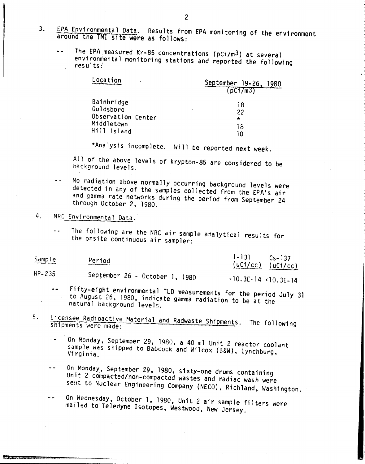- EPA Environmental Data. Results from EPA monitoring of the environment  $3.$ around the TMI site were as follows:
	- The EPA measured Kr-85 concentrations (pCi/m<sup>3</sup>) at several  $\mathbf{L}$  in environmental monitoring stations and reported the following  $results<sup>2</sup>$

| Location                                      | September 19-26.<br>1980<br>(DCI/m3)<br>18<br>22<br>$\star$ |  |
|-----------------------------------------------|-------------------------------------------------------------|--|
| Bainbridge<br>Goldsboro<br>Observation Center |                                                             |  |
| Middletown<br>Hill Island                     | 18<br>ח ו                                                   |  |

\*Analysis incomplete. Will be reported next week.

All of the above levels of krypton-85 are considered to be background levels.

- No radiation above normally occurring background levels were detected in any of the samples collected from the EPA's air and gamma rate networks during the period from September 24 through October 2. 1980.
- NRC Environmental Data. 4.
	- The following are the NRC air sample analytical results for  $\sim$   $\sim$ the onsite continuous air sampler:

| Sample     | Period                         | $1 - 131$<br>$Cs - 137$<br>$(uC1/cc)$ $(uC1/cc)$ |
|------------|--------------------------------|--------------------------------------------------|
| $HP - 235$ | September 26 - October 1, 1980 | $10.3E-14$ < 10.3F-14                            |

Fifty-eight environmental TLD measurements for the period July 31 to August 26, 1980, indicate gamma radiation to be at the natural background levels.

- Licensee Radioactive Material and Radwaste Shipments. The following 5. shipments were made:
	- On Monday, September 29, 1980, a 40 ml Unit 2 reactor coolant  $\overline{a}$ sample was shipped to Babcock and Wilcox (B&W), Lynchburg, Virginia.
	- On Monday, September 29, 1980, sixty-one drums containing  $\ddot{\phantom{1}}$ Unit 2 compacted/non-compacted wastes and radiac wash were sent to Nuclear Engineering Company (NECO), Richland, Washington.

On Wednesday, October 1, 1980, Unit 2 air sample filters were  $$ mailed to Teledyne Isotopes, Westwood, New Jersey.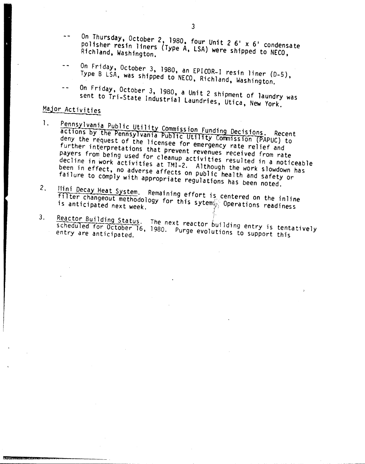- On Thursday, October 2, 1980, four Unit 2 6' x 6' condensate  $\overline{a}$ polisher resin liners (Type A, LSA) were shipped to NECO, Richland, Washington.
- On Friday, October 3, 1980, an EPICOR-I resin liner (D-5), Type B LSA, was shipped to NECO, Richland, Washington.
- On Friday, October 3, 1980, a Unit 2 shipment of laundry was sent to Tri-State Industrial Laundries, Utica, New York.

# Major Activities

- Pennsylvania Public Utility Commission Funding Decisions. Recent  $\mathbf{1}$ . actions by the Pennsylvania Public Utility Commission (PAPUC) to deny the request of the licensee for emergency rate relief and further interpretations that prevent revenues received from rate payers from being used for cleanup activities resulted in a noticeable decline in work activities at TMI-2. Although the work slowdown has been in effect, no adverse affects on public health and safety or failure to comply with appropriate regulations has been noted.
- Mini Decay Heat System. Remaining effort is centered on the inline  $2.$ filter changeout methodology for this sytem Operations readiness
- Reactor Building Status. The next reactor building entry is tentatively  $3.$ scheduled for October 16, 1980. Purge evolutions to support this